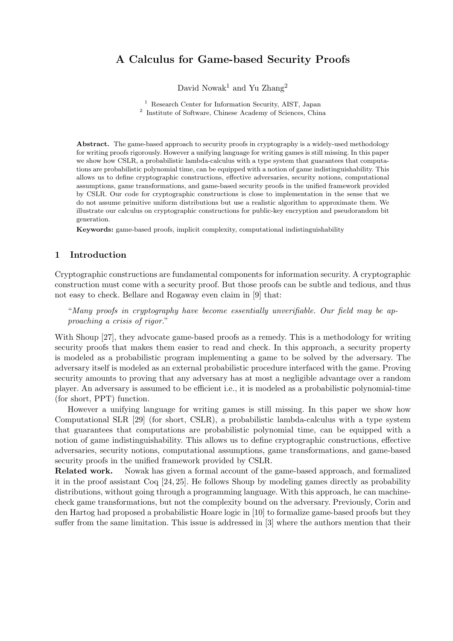# A Calculus for Game-based Security Proofs

David Nowak<sup>1</sup> and Yu Zhang<sup>2</sup>

<sup>1</sup> Research Center for Information Security, AIST, Japan

2 Institute of Software, Chinese Academy of Sciences, China

Abstract. The game-based approach to security proofs in cryptography is a widely-used methodology for writing proofs rigorously. However a unifying language for writing games is still missing. In this paper we show how CSLR, a probabilistic lambda-calculus with a type system that guarantees that computations are probabilistic polynomial time, can be equipped with a notion of game indistinguishability. This allows us to define cryptographic constructions, effective adversaries, security notions, computational assumptions, game transformations, and game-based security proofs in the unified framework provided by CSLR. Our code for cryptographic constructions is close to implementation in the sense that we do not assume primitive uniform distributions but use a realistic algorithm to approximate them. We illustrate our calculus on cryptographic constructions for public-key encryption and pseudorandom bit generation.

Keywords: game-based proofs, implicit complexity, computational indistinguishability

## 1 Introduction

Cryptographic constructions are fundamental components for information security. A cryptographic construction must come with a security proof. But those proofs can be subtle and tedious, and thus not easy to check. Bellare and Rogaway even claim in [9] that:

"Many proofs in cryptography have become essentially unverifiable. Our field may be approaching a crisis of rigor."

With Shoup [27], they advocate game-based proofs as a remedy. This is a methodology for writing security proofs that makes them easier to read and check. In this approach, a security property is modeled as a probabilistic program implementing a game to be solved by the adversary. The adversary itself is modeled as an external probabilistic procedure interfaced with the game. Proving security amounts to proving that any adversary has at most a negligible advantage over a random player. An adversary is assumed to be efficient i.e., it is modeled as a probabilistic polynomial-time (for short, PPT) function.

However a unifying language for writing games is still missing. In this paper we show how Computational SLR [29] (for short, CSLR), a probabilistic lambda-calculus with a type system that guarantees that computations are probabilistic polynomial time, can be equipped with a notion of game indistinguishability. This allows us to define cryptographic constructions, effective adversaries, security notions, computational assumptions, game transformations, and game-based security proofs in the unified framework provided by CSLR.

Related work. Nowak has given a formal account of the game-based approach, and formalized it in the proof assistant Coq [24, 25]. He follows Shoup by modeling games directly as probability distributions, without going through a programming language. With this approach, he can machinecheck game transformations, but not the complexity bound on the adversary. Previously, Corin and den Hartog had proposed a probabilistic Hoare logic in [10] to formalize game-based proofs but they suffer from the same limitation. This issue is addressed in [3] where the authors mention that their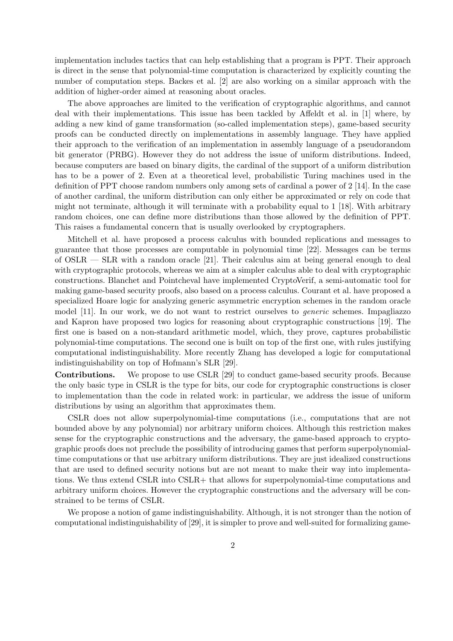implementation includes tactics that can help establishing that a program is PPT. Their approach is direct in the sense that polynomial-time computation is characterized by explicitly counting the number of computation steps. Backes et al. [2] are also working on a similar approach with the addition of higher-order aimed at reasoning about oracles.

The above approaches are limited to the verification of cryptographic algorithms, and cannot deal with their implementations. This issue has been tackled by Affeldt et al. in [1] where, by adding a new kind of game transformation (so-called implementation steps), game-based security proofs can be conducted directly on implementations in assembly language. They have applied their approach to the verification of an implementation in assembly language of a pseudorandom bit generator (PRBG). However they do not address the issue of uniform distributions. Indeed, because computers are based on binary digits, the cardinal of the support of a uniform distribution has to be a power of 2. Even at a theoretical level, probabilistic Turing machines used in the definition of PPT choose random numbers only among sets of cardinal a power of 2 [14]. In the case of another cardinal, the uniform distribution can only either be approximated or rely on code that might not terminate, although it will terminate with a probability equal to 1 [18]. With arbitrary random choices, one can define more distributions than those allowed by the definition of PPT. This raises a fundamental concern that is usually overlooked by cryptographers.

Mitchell et al. have proposed a process calculus with bounded replications and messages to guarantee that those processes are computable in polynomial time [22]. Messages can be terms of OSLR — SLR with a random oracle [21]. Their calculus aim at being general enough to deal with cryptographic protocols, whereas we aim at a simpler calculus able to deal with cryptographic constructions. Blanchet and Pointcheval have implemented CryptoVerif, a semi-automatic tool for making game-based security proofs, also based on a process calculus. Courant et al. have proposed a specialized Hoare logic for analyzing generic asymmetric encryption schemes in the random oracle model [11]. In our work, we do not want to restrict ourselves to generic schemes. Impagliazzo and Kapron have proposed two logics for reasoning about cryptographic constructions [19]. The first one is based on a non-standard arithmetic model, which, they prove, captures probabilistic polynomial-time computations. The second one is built on top of the first one, with rules justifying computational indistinguishability. More recently Zhang has developed a logic for computational indistinguishability on top of Hofmann's SLR [29].

Contributions. We propose to use CSLR [29] to conduct game-based security proofs. Because the only basic type in CSLR is the type for bits, our code for cryptographic constructions is closer to implementation than the code in related work: in particular, we address the issue of uniform distributions by using an algorithm that approximates them.

CSLR does not allow superpolynomial-time computations (i.e., computations that are not bounded above by any polynomial) nor arbitrary uniform choices. Although this restriction makes sense for the cryptographic constructions and the adversary, the game-based approach to cryptographic proofs does not preclude the possibility of introducing games that perform superpolynomialtime computations or that use arbitrary uniform distributions. They are just idealized constructions that are used to defined security notions but are not meant to make their way into implementations. We thus extend CSLR into CSLR+ that allows for superpolynomial-time computations and arbitrary uniform choices. However the cryptographic constructions and the adversary will be constrained to be terms of CSLR.

We propose a notion of game indistinguishability. Although, it is not stronger than the notion of computational indistinguishability of [29], it is simpler to prove and well-suited for formalizing game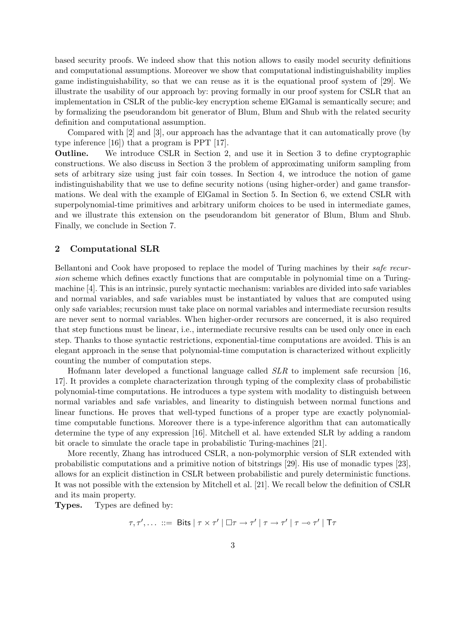based security proofs. We indeed show that this notion allows to easily model security definitions and computational assumptions. Moreover we show that computational indistinguishability implies game indistinguishability, so that we can reuse as it is the equational proof system of [29]. We illustrate the usability of our approach by: proving formally in our proof system for CSLR that an implementation in CSLR of the public-key encryption scheme ElGamal is semantically secure; and by formalizing the pseudorandom bit generator of Blum, Blum and Shub with the related security definition and computational assumption.

Compared with [2] and [3], our approach has the advantage that it can automatically prove (by type inference [16]) that a program is PPT [17].

Outline. We introduce CSLR in Section 2, and use it in Section 3 to define cryptographic constructions. We also discuss in Section 3 the problem of approximating uniform sampling from sets of arbitrary size using just fair coin tosses. In Section 4, we introduce the notion of game indistinguishability that we use to define security notions (using higher-order) and game transformations. We deal with the example of ElGamal in Section 5. In Section 6, we extend CSLR with superpolynomial-time primitives and arbitrary uniform choices to be used in intermediate games, and we illustrate this extension on the pseudorandom bit generator of Blum, Blum and Shub. Finally, we conclude in Section 7.

## 2 Computational SLR

Bellantoni and Cook have proposed to replace the model of Turing machines by their safe recursion scheme which defines exactly functions that are computable in polynomial time on a Turingmachine [4]. This is an intrinsic, purely syntactic mechanism: variables are divided into safe variables and normal variables, and safe variables must be instantiated by values that are computed using only safe variables; recursion must take place on normal variables and intermediate recursion results are never sent to normal variables. When higher-order recursors are concerned, it is also required that step functions must be linear, i.e., intermediate recursive results can be used only once in each step. Thanks to those syntactic restrictions, exponential-time computations are avoided. This is an elegant approach in the sense that polynomial-time computation is characterized without explicitly counting the number of computation steps.

Hofmann later developed a functional language called SLR to implement safe recursion [16, 17]. It provides a complete characterization through typing of the complexity class of probabilistic polynomial-time computations. He introduces a type system with modality to distinguish between normal variables and safe variables, and linearity to distinguish between normal functions and linear functions. He proves that well-typed functions of a proper type are exactly polynomialtime computable functions. Moreover there is a type-inference algorithm that can automatically determine the type of any expression [16]. Mitchell et al. have extended SLR by adding a random bit oracle to simulate the oracle tape in probabilistic Turing-machines [21].

More recently, Zhang has introduced CSLR, a non-polymorphic version of SLR extended with probabilistic computations and a primitive notion of bitstrings [29]. His use of monadic types [23], allows for an explicit distinction in CSLR between probabilistic and purely deterministic functions. It was not possible with the extension by Mitchell et al. [21]. We recall below the definition of CSLR and its main property.

Types. Types are defined by:

$$
\tau, \tau', \ldots \ ::= \ \mathsf{Bits} \ | \ \tau \times \tau' \ | \ \Box \tau \to \tau' \ | \ \tau \to \tau' \ | \ \tau \multimap \tau' \ | \ \mathsf{T}\tau
$$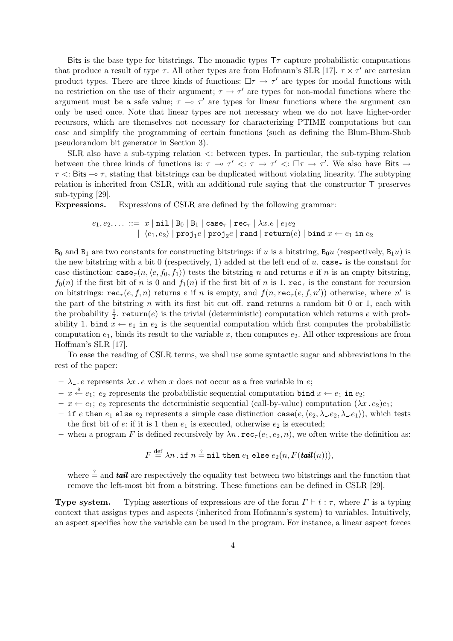Bits is the base type for bitstrings. The monadic types  $T_{\tau}$  capture probabilistic computations that produce a result of type  $\tau$ . All other types are from Hofmann's SLR [17].  $\tau \times \tau'$  are cartesian product types. There are three kinds of functions:  $\Box \tau \rightarrow \tau'$  are types for modal functions with no restriction on the use of their argument;  $\tau \to \tau'$  are types for non-modal functions where the argument must be a safe value;  $\tau \to \tau'$  are types for linear functions where the argument can only be used once. Note that linear types are not necessary when we do not have higher-order recursors, which are themselves not necessary for characterizing PTIME computations but can ease and simplify the programming of certain functions (such as defining the Blum-Blum-Shub pseudorandom bit generator in Section 3).

SLR also have a sub-typing relation <: between types. In particular, the sub-typing relation between the three kinds of functions is:  $\tau \to \tau' \lt : \tau \to \tau' \lt : \Box \tau \to \tau'$ . We also have Bits  $\to$  $\tau$  <: Bits  $\sim$   $\tau$ , stating that bitstrings can be duplicated without violating linearity. The subtyping relation is inherited from CSLR, with an additional rule saying that the constructor T preserves sub-typing [29].

Expressions. Expressions of CSLR are defined by the following grammar:

$$
e_1, e_2, \ldots ::= x \mid \text{nil} \mid B_0 \mid B_1 \mid \text{case}_{\tau} \mid \text{rec}_{\tau} \mid \lambda x. e \mid e_1 e_2
$$
  
 
$$
\mid \langle e_1, e_2 \rangle \mid \text{proj}_1 e \mid \text{proj}_2 e \mid \text{rand} \mid \text{return}(e) \mid \text{bind } x \leftarrow e_1 \text{ in } e_2
$$

 $B_0$  and  $B_1$  are two constants for constructing bitstrings: if u is a bitstring,  $B_0u$  (respectively,  $B_1u$ ) is the new bitstring with a bit 0 (respectively, 1) added at the left end of u. case, is the constant for case distinction:  $case_{\tau}(n,\langle e, f_0, f_1 \rangle)$  tests the bitstring n and returns e if n is an empty bitstring,  $f_0(n)$  if the first bit of n is 0 and  $f_1(n)$  if the first bit of n is 1. rec<sub>t</sub> is the constant for recursion on bitstrings:  $\text{rec}_{\tau}(e, f, n)$  returns e if n is empty, and  $f(n, \text{rec}_{\tau}(e, f, n'))$  otherwise, where n' is the part of the bitstring  $n$  with its first bit cut off. rand returns a random bit 0 or 1, each with the probability  $\frac{1}{2}$  return(e) is the trivial (deterministic) computation which returns e with probability 1. bind  $x \leftarrow e_1$  in  $e_2$  is the sequential computation which first computes the probabilistic computation  $e_1$ , binds its result to the variable x, then computes  $e_2$ . All other expressions are from Hoffman's SLR [17].

To ease the reading of CSLR terms, we shall use some syntactic sugar and abbreviations in the rest of the paper:

- $\lambda$ . e represents  $\lambda x$ . e when x does not occur as a free variable in e;
- $x \stackrel{\$}{\leftarrow} e_1; e_2$  represents the probabilistic sequential computation bind  $x \leftarrow e_1$  in  $e_2;$
- $x \leftarrow e_1$ ;  $e_2$  represents the deterministic sequential (call-by-value) computation  $(\lambda x . e_2)e_1$ ;
- if e then  $e_1$  else  $e_2$  represents a simple case distinction case $(e, \langle e_2, \lambda \ldots e_2, \lambda \ldots e_1 \rangle)$ , which tests the first bit of e: if it is 1 then  $e_1$  is executed, otherwise  $e_2$  is executed;
- when a program F is defined recursively by  $\lambda n \cdot \text{rec}_{\tau}(e_1, e_2, n)$ , we often write the definition as:

$$
F \stackrel{\text{def}}{=} \lambda n \text{ if } n \stackrel{?}{=} \texttt{nil} \text{ then } e_1 \text{ else } e_2(n, F(\textit{tail}(n))),
$$

where  $\frac{y}{x}$  and **tail** are respectively the equality test between two bitstrings and the function that remove the left-most bit from a bitstring. These functions can be defined in CSLR [29].

**Type system.** Typing assertions of expressions are of the form  $\Gamma \vdash t : \tau$ , where  $\Gamma$  is a typing context that assigns types and aspects (inherited from Hofmann's system) to variables. Intuitively, an aspect specifies how the variable can be used in the program. For instance, a linear aspect forces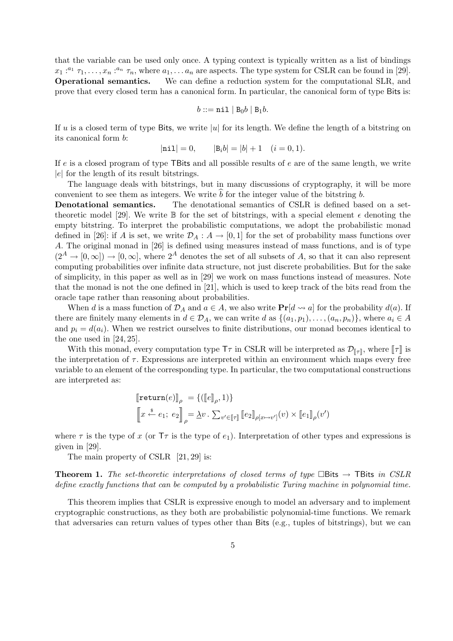that the variable can be used only once. A typing context is typically written as a list of bindings  $x_1$ :<sup>*a*<sub>1</sub></sup>  $\tau_1, \ldots, x_n$ :<sup>*a<sub>n</sub>*</sup>  $\tau_n$ , where  $a_1, \ldots, a_n$  are aspects. The type system for CSLR can be found in [29]. Operational semantics. We can define a reduction system for the computational SLR, and prove that every closed term has a canonical form. In particular, the canonical form of type Bits is:

$$
b ::= \mathtt{nil} \mid \mathtt{B}_0 b \mid \mathtt{B}_1 b.
$$

If u is a closed term of type Bits, we write  $|u|$  for its length. We define the length of a bitstring on its canonical form b:

$$
|\textbf{nil}| = 0,
$$
  $|B_i b| = |b| + 1$   $(i = 0, 1).$ 

If  $e$  is a closed program of type TBits and all possible results of  $e$  are of the same length, we write  $|e|$  for the length of its result bitstrings.

The language deals with bitstrings, but in many discussions of cryptography, it will be more

convenient to see them as integers. We write  $b$  for the integer value of the bitstring  $b$ .<br>**Denotational semantics.** The denotational semantics of CSLR is defined bas The denotational semantics of CSLR is defined based on a settheoretic model [29]. We write  $\mathbb B$  for the set of bitstrings, with a special element  $\epsilon$  denoting the empty bitstring. To interpret the probabilistic computations, we adopt the probabilistic monad defined in [26]: if A is set, we write  $\mathcal{D}_A : A \to [0,1]$  for the set of probability mass functions over A. The original monad in [26] is defined using measures instead of mass functions, and is of type  $(2^A \rightarrow [0,\infty]) \rightarrow [0,\infty],$  where  $2^A$  denotes the set of all subsets of A, so that it can also represent computing probabilities over infinite data structure, not just discrete probabilities. But for the sake of simplicity, in this paper as well as in [29] we work on mass functions instead of measures. Note that the monad is not the one defined in [21], which is used to keep track of the bits read from the oracle tape rather than reasoning about probabilities.

When d is a mass function of  $\mathcal{D}_A$  and  $a \in A$ , we also write  $\Pr[d \leadsto a]$  for the probability  $d(a)$ . If there are finitely many elements in  $d \in \mathcal{D}_A$ , we can write d as  $\{(a_1, p_1), \ldots, (a_n, p_n)\}\)$ , where  $a_i \in A$ and  $p_i = d(a_i)$ . When we restrict ourselves to finite distributions, our monad becomes identical to the one used in [24, 25].

With this monad, every computation type  $T\tau$  in CSLR will be interpreted as  $\mathcal{D}_{\llbracket \tau \rrbracket}$ , where  $\llbracket \tau \rrbracket$  is<br>interpreted as  $\mathcal{D}_{\llbracket \tau \rrbracket}$ , where  $\llbracket \tau \rrbracket$  is the interpretation of  $\tau$ . Expressions are interpreted within an environment which maps every free variable to an element of the corresponding type. In particular, the two computational constructions are interpreted as:

$$
\begin{aligned} &\text{[return}(e) \rrbracket_{\rho} = \{ (\llbracket e \rrbracket_{\rho}, 1) \} \\ &\text{[x \overset{\$}{\leftarrow} e_1$; e_2} \rrbracket_{\rho} = \underline{\lambda} v \cdot \sum_{v' \in \llbracket \tau \rrbracket} \llbracket e_2 \rrbracket_{\rho[x \mapsto v']} (v) \times \llbracket e_1 \rrbracket_{\rho} (v') \end{aligned}
$$

where  $\tau$  is the type of x (or  $T\tau$  is the type of e<sub>1</sub>). Interpretation of other types and expressions is given in [29].

The main property of CSLR [21, 29] is:

**Theorem 1.** The set-theoretic interpretations of closed terms of type  $\Box$ Bits  $\rightarrow$  TBits in CSLR define exactly functions that can be computed by a probabilistic Turing machine in polynomial time.

This theorem implies that CSLR is expressive enough to model an adversary and to implement cryptographic constructions, as they both are probabilistic polynomial-time functions. We remark that adversaries can return values of types other than Bits (e.g., tuples of bitstrings), but we can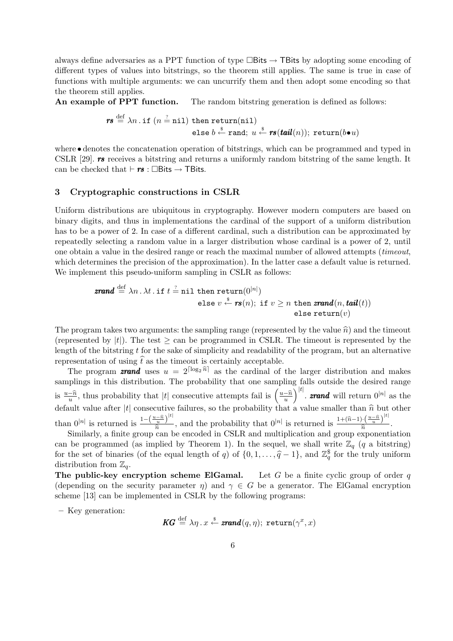always define adversaries as a PPT function of type  $\Box$  Bits  $\rightarrow$  TBits by adopting some encoding of different types of values into bitstrings, so the theorem still applies. The same is true in case of functions with multiple arguments: we can uncurrify them and then adopt some encoding so that the theorem still applies.

An example of PPT function. The random bitstring generation is defined as follows:

$$
\mathit{rs} \stackrel{\text{def}}{=} \lambda n \text{ if } (n \stackrel{?}{=} \text{nil}) \text{ then } \text{return}(\text{nil}) \\ \text{else } b \stackrel{\$}{\leftarrow} \text{rand}; u \stackrel{\$}{\leftarrow} \mathit{rs}(\text{tail}(n)); \text{ return}(b \bullet u)
$$

where • denotes the concatenation operation of bitstrings, which can be programmed and typed in CSLR [29]. **rs** receives a bitstring and returns a uniformly random bitstring of the same length. It can be checked that  $\vdash rs : \Box \text{Bits} \rightarrow \text{TBits}.$ 

## 3 Cryptographic constructions in CSLR

Uniform distributions are ubiquitous in cryptography. However modern computers are based on binary digits, and thus in implementations the cardinal of the support of a uniform distribution has to be a power of 2. In case of a different cardinal, such a distribution can be approximated by repeatedly selecting a random value in a larger distribution whose cardinal is a power of 2, until one obtain a value in the desired range or reach the maximal number of allowed attempts (timeout, which determines the precision of the approximation). In the latter case a default value is returned. We implement this pseudo-uniform sampling in CSLR as follows:

$$
\text{zrand} \stackrel{\text{def}}{=} \lambda n \cdot \lambda t \cdot \text{if } t \stackrel{?}{=} \text{nil then return}(0^{|n|})
$$
\n
$$
\text{else } v \stackrel{\$}{\leftarrow} \text{rs}(n); \text{ if } v \ge n \text{ then } \text{zrand}(n, \text{tail}(t))
$$
\n
$$
\text{else return}(v)
$$

The program takes two arguments: the sampling range (represented by the value  $\hat{n}$ ) and the timeout (represented by |t|). The test  $\geq$  can be programmed in CSLR. The timeout is represented by the length of the bitstring  $t$  for the sake of simplicity and readability of the program, but an alternative representation of using  $\hat{t}$  as the timeout is certainly acceptable.

The program **zrand** uses  $u = 2^{\lceil \log_2 \hat{n} \rceil}$  as the cardinal of the larger distribution and makes samplings in this distribution. The probability that one sampling falls outside the desired range is  $\frac{u-\widehat{n}}{u}$ , thus probability that |t| consecutive attempts fail is  $\left(\frac{u-\widehat{n}}{u}\right)^{|t|}$ . **zrand** will return  $0^{|n|}$  as the default value after |t| consecutive failures, so the probability that a value smaller than  $\hat{n}$  but other than  $0^{|n|}$  is returned is  $\frac{1-(\frac{u-\widehat{n}}{n})^{|t|}}{\widehat{n}}$ , and the probability that  $0^{|n|}$  is returned is  $\frac{1+(\widehat{n}-1)\cdot(\frac{u-\widehat{n}}{u})^{|t|}}{\widehat{n}}$ .

Similarly, a finite group can be encoded in CSLR and multiplication and group exponentiation can be programmed (as implied by Theorem 1). In the sequel, we shall write  $\mathbb{Z}_q$  (q a bitstring) for the set of binaries (of the equal length of q) of  $\{0, 1, \ldots, \hat{q} - 1\}$ , and  $\mathbb{Z}_q^{\$}$  for the truly uniform distribution from  $\mathbb{Z}$ distribution from  $\mathbb{Z}_q$ .

The public-key encryption scheme ElGamal. Let G be a finite cyclic group of order q (depending on the security parameter  $\eta$ ) and  $\gamma \in G$  be a generator. The ElGamal encryption scheme [13] can be implemented in CSLR by the following programs:

– Key generation:

$$
\textit{KG} \stackrel{\text{def}}{=} \lambda \eta \ldotp x \stackrel{\hspace{0.1em}\mathsf{\scriptscriptstyle\$}}{\leftarrow} \textit{zrand}(q, \eta); \ \texttt{return}(\gamma^x, x)
$$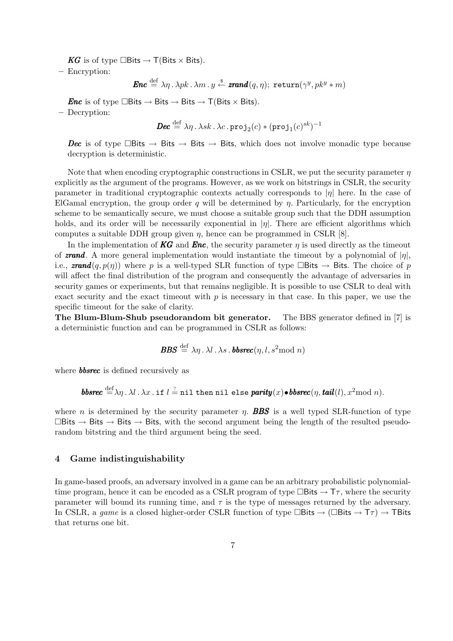KG is of type  $\Box$ Bits  $\rightarrow$  T(Bits  $\times$  Bits).

– Encryption:

**Enc** 
$$
\stackrel{\text{def}}{=} \lambda \eta \cdot \lambda pk \cdot \lambda m \cdot y \stackrel{\$}{\leftarrow} \text{zrand}(q, \eta); \text{return}(\gamma^y, pk^y * m)
$$

**Enc** is of type  $\Box$  Bits  $\rightarrow$  Bits  $\rightarrow$  Bits  $\rightarrow$  T(Bits  $\times$  Bits).

– Decryption:

 $\bm{Dec} \stackrel{\rm def}{=} \lambda \eta$  .  $\lambda sk$  .  $\lambda c$  .  $\texttt{proj}_2(c) * (\texttt{proj}_1(c)^{sk})^{-1}$ 

**Dec** is of type  $\Box$  Bits  $\rightarrow$  Bits  $\rightarrow$  Bits, which does not involve monadic type because decryption is deterministic.

Note that when encoding cryptographic constructions in CSLR, we put the security parameter  $n$ explicitly as the argument of the programs. However, as we work on bitstrings in CSLR, the security parameter in traditional cryptographic contexts actually corresponds to  $|\eta|$  here. In the case of ElGamal encryption, the group order q will be determined by  $\eta$ . Particularly, for the encryption scheme to be semantically secure, we must choose a suitable group such that the DDH assumption holds, and its order will be necessarily exponential in  $|\eta|$ . There are efficient algorithms which computes a suitable DDH group given  $\eta$ , hence can be programmed in CSLR [8].

In the implementation of **KG** and **Enc**, the security parameter  $\eta$  is used directly as the timeout of **zrand**. A more general implementation would instantiate the timeout by a polynomial of  $|\eta|$ , i.e., **zrand**  $(q, p(\eta))$  where p is a well-typed SLR function of type  $\Box$  Bits  $\rightarrow$  Bits. The choice of p will affect the final distribution of the program and consequently the advantage of adversaries in security games or experiments, but that remains negligible. It is possible to use CSLR to deal with exact security and the exact timeout with  $p$  is necessary in that case. In this paper, we use the specific timeout for the sake of clarity.

The Blum-Blum-Shub pseudorandom bit generator. The BBS generator defined in [7] is a deterministic function and can be programmed in CSLR as follows:

**BBS** 
$$
\stackrel{\text{def}}{=} \lambda \eta \cdot \lambda l \cdot \lambda s \cdot \mathbf{bbsrec}(\eta, l, s^2 \text{mod } n)
$$

where **bbsrec** is defined recursively as

**bbsrec** 
$$
\stackrel{\text{def}}{=} \lambda \eta \cdot \lambda l \cdot \lambda x \cdot \text{if } l = \text{nil then nil else } \text{parity}(x) \bullet \text{bbsrec}(\eta, \text{tail}(l), x^2 \text{mod } n).
$$

where n is determined by the security parameter  $\eta$ . **BBS** is a well typed SLR-function of type  $\Box$ Bits  $\rightarrow$  Bits  $\rightarrow$  Bits, with the second argument being the length of the resulted pseudorandom bitstring and the third argument being the seed.

## 4 Game indistinguishability

In game-based proofs, an adversary involved in a game can be an arbitrary probabilistic polynomialtime program, hence it can be encoded as a CSLR program of type  $\Box$ Bits  $\rightarrow$  T $\tau$ , where the security parameter will bound its running time, and  $\tau$  is the type of messages returned by the adversary. In CSLR, a game is a closed higher-order CSLR function of type  $\Box$ Bits  $\rightarrow (\Box$ Bits  $\rightarrow$  T $\tau$ )  $\rightarrow$  TBits that returns one bit.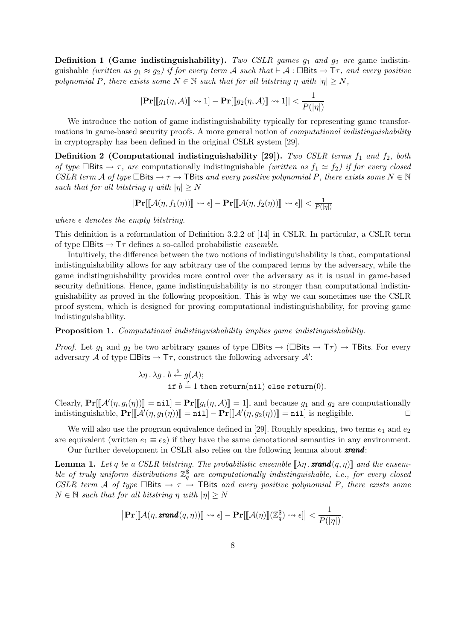**Definition 1 (Game indistinguishability).** Two CSLR games  $g_1$  and  $g_2$  are game indistinguishable (written as  $g_1 \approx g_2$ ) if for every term A such that  $\vdash A : \Box$ Bits  $\rightarrow \top \tau$ , and every positive polynomial P, there exists some  $N \in \mathbb{N}$  such that for all bitstring  $\eta$  with  $|\eta| \geq N$ ,

$$
|\mathbf{Pr}[\llbracket g_1(\eta,\mathcal{A})\rrbracket \leadsto 1] - \mathbf{Pr}[\llbracket g_2(\eta,\mathcal{A})\rrbracket \leadsto 1]| < \frac{1}{P(|\eta|)}
$$

We introduce the notion of game indistinguishability typically for representing game transformations in game-based security proofs. A more general notion of computational indistinguishability in cryptography has been defined in the original CSLR system [29].

Definition 2 (Computational indistinguishability [29]). Two CSLR terms  $f_1$  and  $f_2$ , both of type  $\Box$ Bits  $\rightarrow \tau$ , are computationally indistinguishable (written as  $f_1 \simeq f_2$ ) if for every closed CSLR term A of type  $\Box$ Bits  $\rightarrow \tau \rightarrow$  TBits and every positive polynomial P, there exists some  $N \in \mathbb{N}$ such that for all bitstring  $\eta$  with  $|\eta| \geq N$ 

$$
|\mathbf{Pr}[\mathcal{A}(\eta, f_1(\eta))] \leadsto \epsilon] - \mathbf{Pr}[\mathcal{A}(\eta, f_2(\eta))] \leadsto \epsilon]| < \frac{1}{P(|\eta|)}
$$

where  $\epsilon$  denotes the empty bitstring.

This definition is a reformulation of Definition 3.2.2 of [14] in CSLR. In particular, a CSLR term of type  $\Box$ Bits  $\rightarrow$  T $\tau$  defines a so-called probabilistic *ensemble*.

Intuitively, the difference between the two notions of indistinguishability is that, computational indistinguishability allows for any arbitrary use of the compared terms by the adversary, while the game indistinguishability provides more control over the adversary as it is usual in game-based security definitions. Hence, game indistinguishability is no stronger than computational indistinguishability as proved in the following proposition. This is why we can sometimes use the CSLR proof system, which is designed for proving computational indistinguishability, for proving game indistinguishability.

Proposition 1. Computational indistinguishability implies game indistinguishability.

*Proof.* Let  $g_1$  and  $g_2$  be two arbitrary games of type  $\Box$  Bits  $\rightarrow (\Box$  Bits  $\rightarrow T\tau) \rightarrow \top$  Bits. For every adversary A of type  $\Box$ Bits  $\rightarrow$  T $\tau$ , construct the following adversary A':

$$
\lambda \eta \cdot \lambda g \cdot b \stackrel{\hspace{0.1em}\mathsf{\scriptscriptstyle\$}}{\leftarrow} g(\mathcal{A});
$$
\n
$$
\text{if } b \stackrel{\hspace{0.1em}\mathsf{\scriptscriptstyle\$}}{\leftarrow} 1 \text{ then return(nil) else return}(0).
$$

Clearly,  $\Pr[\mathcal{A}'(\eta, g_i(\eta))] = \text{nil} = \Pr[\mathcal{g}_i(\eta, \mathcal{A})] = 1]$ , and because  $g_1$  and  $g_2$  are computationally indictinguishble.  $\Pr[\mathcal{A}'(g, g_i(\eta))] = \text{nil}$   $\Pr[\mathcal{A}'(g, g_i(\eta))] = \text{nil}$  is positively indistinguishable,  $\Pr[\lbrack\!\lbrack \mathcal{A}'(\eta,g_1(\eta))\rbrack\!\rbrack = \texttt{nil} - \Pr[\lbrack\!\lbrack \mathcal{A}'(\eta,g_2(\eta))\rbrack\!\rbrack = \texttt{nil} \rbrack$  is negligible.

We will also use the program equivalence defined in [29]. Roughly speaking, two terms  $e_1$  and  $e_2$ are equivalent (written  $e_1 \equiv e_2$ ) if they have the same denotational semantics in any environment. Our further development in CSLR also relies on the following lemma about **zrand**:

**Lemma 1.** Let q be a CSLR bitstring. The probabilistic ensemble  $[\lambda \eta \cdot \textbf{zrand}(q, \eta)]$  and the ensemble of truly uniform distributions  $\mathbb{Z}_q^{\$}$  are computationally indistinguishable, i.e., for every closed CSLR term A of type  $\Box$ Bits  $\rightarrow \tau \rightarrow$  TBits and every positive polynomial P, there exists some  $N \in \mathbb{N}$  such that for all bitstring  $\eta$  with  $|\eta| \geq N$ 

$$
\big|\mathbf{Pr}[\llbracket \mathcal{A}(\eta, \textbf{zrand}(q,\eta))\rrbracket \leadsto \epsilon] - \mathbf{Pr}[\llbracket \mathcal{A}(\eta)\rrbracket(\mathbb{Z}_q^{\$}) \leadsto \epsilon] \big| < \frac{1}{P(|\eta|)}.
$$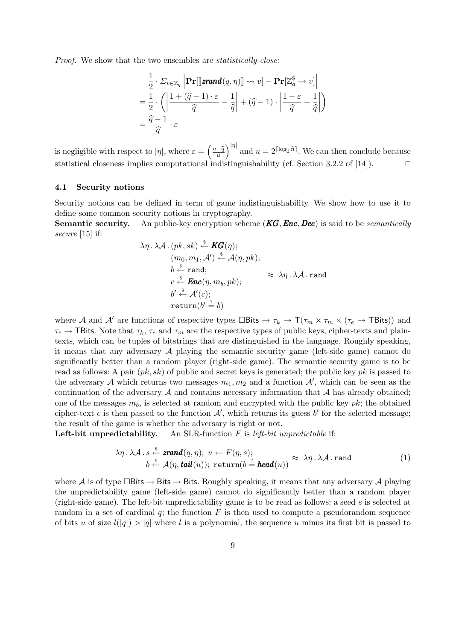Proof. We show that the two ensembles are *statistically close*:

$$
\frac{1}{2} \cdot \Sigma_{v \in \mathbb{Z}_q} \left| \mathbf{Pr}[\left[ \mathbf{zrand}(q, \eta) \right] \leadsto v] - \mathbf{Pr}[\mathbb{Z}_q^{\$} \leadsto v] \right|
$$
\n
$$
= \frac{1}{2} \cdot \left( \left| \frac{1 + (\widehat{q} - 1) \cdot \varepsilon}{\widehat{q}} - \frac{1}{\widehat{q}} \right| + (\widehat{q} - 1) \cdot \left| \frac{1 - \varepsilon}{\widehat{q}} - \frac{1}{\widehat{q}} \right| \right)
$$
\n
$$
= \frac{\widehat{q} - 1}{\widehat{q}} \cdot \varepsilon
$$

is negligible with respect to  $|\eta|$ , where  $\varepsilon = \left(\frac{u-\widehat{q}}{u}\right)^{|\eta|}$  and  $u = 2^{\lceil \log_2 \widehat{n} \rceil}$ . We can then conclude because statistical closeness implies computational indistinguishability (cf. Section 3.2.2 of [14]).

#### 4.1 Security notions

Security notions can be defined in term of game indistinguishability. We show how to use it to define some common security notions in cryptography.

**Semantic security.** An public-key encryption scheme ( $KG$ ,  $Enc$ ,  $Dec$ ) is said to be *semantically* secure [15] if:

$$
\lambda \eta \cdot \lambda \mathcal{A} \cdot (pk, sk) \stackrel{\text{s}}{\leftarrow} \mathbf{KG}(\eta);\n(m_0, m_1, \mathcal{A}') \stackrel{\text{s}}{\leftarrow} \mathcal{A}(\eta, pk);\nb \stackrel{\text{s}}{\leftarrow} \mathtt{rand};\nc \stackrel{\text{s}}{\leftarrow} \mathbf{Enc}(\eta, m_b, pk); \approx \lambda \eta \cdot \lambda \mathcal{A} \cdot \mathtt{rand}\nb' \stackrel{\text{s}}{\leftarrow} \mathcal{A}'(c);\n\quad \mathtt{return}(b' \stackrel{\text{?}}{=} b)
$$

where A and A' are functions of respective types  $\Box$ Bits  $\rightarrow \tau_k \rightarrow \mathsf{T}(\tau_m \times \tau_m \times (\tau_e \rightarrow \mathsf{TBits}))$  and  $\tau_e \to \text{TBits}$ . Note that  $\tau_k$ ,  $\tau_e$  and  $\tau_m$  are the respective types of public keys, cipher-texts and plaintexts, which can be tuples of bitstrings that are distinguished in the language. Roughly speaking, it means that any adversary  $A$  playing the semantic security game (left-side game) cannot do significantly better than a random player (right-side game). The semantic security game is to be read as follows: A pair  $(pk, sk)$  of public and secret keys is generated; the public key pk is passed to the adversary A which returns two messages  $m_1, m_2$  and a function  $\mathcal{A}'$ , which can be seen as the continuation of the adversary  $A$  and contains necessary information that  $A$  has already obtained; one of the messages  $m_b$ , is selected at random and encrypted with the public key  $pk$ ; the obtained cipher-text c is then passed to the function  $A'$ , which returns its guess b' for the selected message; the result of the game is whether the adversary is right or not.

**Left-bit unpredictability.** An SLR-function  $F$  is *left-bit unpredictable* if:

$$
\lambda \eta \cdot \lambda \mathcal{A} \cdot s \stackrel{\text{s}}{\leftarrow} \text{zrand}(q, \eta); \ u \leftarrow F(\eta, s); \\
 b \stackrel{\text{s}}{\leftarrow} \mathcal{A}(\eta, \text{tail}(u)); \ \text{return}(b \stackrel{\text{?}}{=} \text{head}(u)) \approx \lambda \eta \cdot \lambda \mathcal{A} \cdot \text{rand}
$$
 (1)

where A is of type  $\Box$  Bits  $\rightarrow$  Bits  $\rightarrow$  Bits. Roughly speaking, it means that any adversary A playing the unpredictability game (left-side game) cannot do significantly better than a random player (right-side game). The left-bit unpredictability game is to be read as follows: a seed s is selected at random in a set of cardinal q; the function  $F$  is then used to compute a pseudorandom sequence of bits u of size  $l(|q|) > |q|$  where l is a polynomial; the sequence u minus its first bit is passed to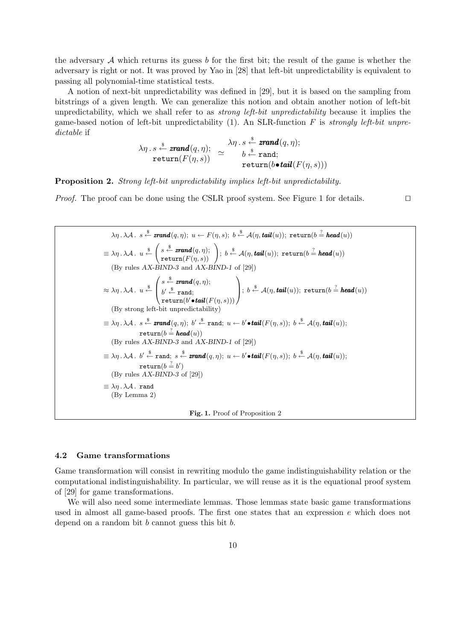the adversary  $A$  which returns its guess b for the first bit; the result of the game is whether the adversary is right or not. It was proved by Yao in [28] that left-bit unpredictability is equivalent to passing all polynomial-time statistical tests.

A notion of next-bit unpredictability was defined in [29], but it is based on the sampling from bitstrings of a given length. We can generalize this notion and obtain another notion of left-bit unpredictability, which we shall refer to as *strong left-bit unpredictability* because it implies the game-based notion of left-bit unpredictability (1). An SLR-function  $F$  is strongly left-bit unpredictable if

$$
\lambda \eta \cdot s \stackrel{\$}{\leftarrow} \textbf{zrand}(q, \eta); \quad \sim \frac{\lambda \eta \cdot s \stackrel{\$}{\leftarrow} \textbf{zrand}(q, \eta);}{b \stackrel{\$}{\leftarrow} \textbf{rand};} \\ \textbf{return}(F(\eta, s)) \quad \simeq \frac{\lambda \eta \cdot s \stackrel{\$}{\leftarrow} \textbf{zrand}(q, \eta);}{\textbf{return}(b \cdot \textbf{tail}(F(\eta, s)))}
$$

Proposition 2. Strong left-bit unpredictability implies left-bit unpredictability.

*Proof.* The proof can be done using the CSLR proof system. See Figure 1 for details.  $\square$ 

$$
\lambda \eta \cdot \lambda A. \ s \stackrel{\$}{\leftarrow} \text{zrand}(q, \eta); \ u \leftarrow F(\eta, s); \ b \stackrel{\$}{\leftarrow} \mathcal{A}(\eta, \text{tail}(u)); \ \text{return}(b \stackrel{\exists}{=} \text{head}(u))
$$
\n
$$
\equiv \lambda \eta \cdot \lambda A. \ u \stackrel{\$}{\leftarrow} \left( s \stackrel{\$}{\leftarrow} \text{zrand}(q, \eta); \ \right); \ b \stackrel{\$}{\leftarrow} \mathcal{A}(\eta, \text{tail}(u)); \ \text{return}(b \stackrel{\exists}{=} \text{head}(u))
$$
\n
$$
\text{(By rules } AX-BIND-3 \text{ and } AX-BIND-1 \text{ of [29]})
$$
\n
$$
\approx \lambda \eta \cdot \lambda A. \ u \stackrel{\$}{\leftarrow} \left( s \stackrel{\$}{\leftarrow} \text{zrand}(q, \eta); \ \text{return}(b \leftarrow \text{tail}(F(\eta, s))) \right); \ b \stackrel{\$}{\leftarrow} \mathcal{A}(\eta, \text{tail}(u)); \ \text{return}(b \stackrel{\exists}{=} \text{head}(u))
$$
\n
$$
\text{(By strong left-bit unpredictable)})
$$
\n
$$
\equiv \lambda \eta \cdot \lambda A. \ s \stackrel{\$}{\leftarrow} \text{zrand}(q, \eta); \ b' \stackrel{\$}{\leftarrow} \text{rand}, \ u \leftarrow b' \cdot \text{tail}(F(\eta, s)); \ b \stackrel{\$}{\leftarrow} \mathcal{A}(\eta, \text{tail}(u)); \ \text{return}(b \stackrel{\exists}{=} \text{head}(u))
$$
\n
$$
\text{(By rules } AX-BIND-3 \text{ and } AX-BIND-1 \text{ of [29]})
$$
\n
$$
\equiv \lambda \eta \cdot \lambda A. \ b' \stackrel{\$}{\leftarrow} \text{rand}(q, \eta); \ v \leftarrow b' \cdot \text{tail}(F(\eta, s)); \ b \stackrel{\$}{\leftarrow} \mathcal{A}(\eta, \text{tail}(u)); \ \text{return}(b \stackrel{\exists}{=} b')
$$
\n
$$
\text{(By rules } AX-BIND-3 \text{ of [29]})
$$
\n
$$
\equiv \lambda \eta \cdot \lambda A. \text{ rand}
$$
\n
$$
\text{return}(b \stackrel{\exists}{=} b')
$$
\n
$$
\text{(
$$

## 4.2 Game transformations

Game transformation will consist in rewriting modulo the game indistinguishability relation or the computational indistinguishability. In particular, we will reuse as it is the equational proof system of [29] for game transformations.

We will also need some intermediate lemmas. Those lemmas state basic game transformations used in almost all game-based proofs. The first one states that an expression e which does not depend on a random bit  $b$  cannot guess this bit  $b$ .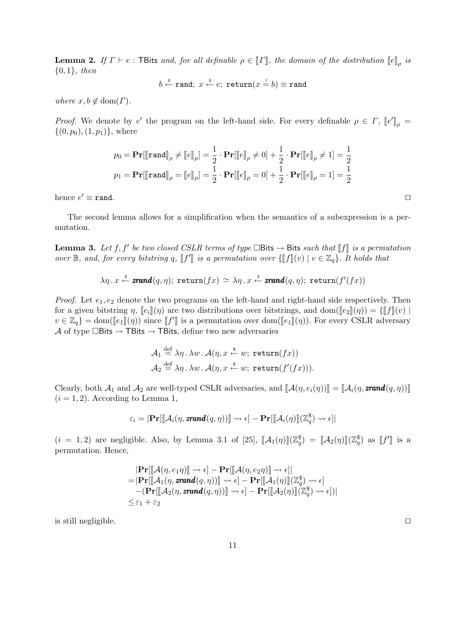**Lemma 2.** If  $\Gamma \vdash e$ : TBits and, for all definable  $\rho \in [\![\Gamma]\!]$ , the domain of the distribution  $[\![e]\!]_{\rho}$  is  $\{0,1\},\, then$ 

$$
b \stackrel{\hspace{0.1em}\mathsf{\scriptscriptstyle\$}}{\leftarrow} \mathtt{rand};\ x \stackrel{\hspace{0.1em}\mathsf{\scriptscriptstyle\$}}{\leftarrow} e;\ \mathtt{return}(x \stackrel{\hspace{0.1em}\mathsf{\scriptscriptstyle\$}}{\leftarrow} b) \equiv \mathtt{rand}
$$

where  $x, b \notin \text{dom}(\Gamma)$ .

*Proof.* We denote by e' the program on the left-hand side. For every definable  $\rho \in \Gamma$ ,  $\llbracket e' \rrbracket_{\rho} =$  $\{(0, p_0), (1, p_1)\}\text{, where}$ 

$$
p_0 = \mathbf{Pr}[\llbracket \mathbf{rand} \rrbracket_{\rho} \neq \llbracket e \rrbracket_{\rho}] = \frac{1}{2} \cdot \mathbf{Pr}[\llbracket e \rrbracket_{\rho} \neq 0] + \frac{1}{2} \cdot \mathbf{Pr}[\llbracket e \rrbracket_{\rho} \neq 1] = \frac{1}{2}
$$
  

$$
p_1 = \mathbf{Pr}[\llbracket \mathbf{rand} \rrbracket_{\rho} = \llbracket e \rrbracket_{\rho}] = \frac{1}{2} \cdot \mathbf{Pr}[\llbracket e \rrbracket_{\rho} = 0] + \frac{1}{2} \cdot \mathbf{Pr}[\llbracket e \rrbracket_{\rho} = 1] = \frac{1}{2}
$$

hence  $e' \equiv \texttt{rand}$ .  $\mathcal{O}$  = rand.

The second lemma allows for a simplification when the semantics of a subexpression is a permutation.

**Lemma 3.** Let  $f, f'$  be two closed CSLR terms of type  $\Box$  Bits  $\rightarrow$  Bits such that  $\llbracket f \rrbracket$  is a permutation and for every little is a permutation even  $\llbracket f \rrbracket(\alpha) \rrbracket$  or  $\llbracket f \rrbracket$  is a permutation over  $\mathbb{B}$ , and, for every bitstring q,  $[f']$  is a permutation over  $\{[f](v) \mid v \in \mathbb{Z}_q\}$ . It holds that

$$
\lambda \eta \cdot x \stackrel{\hspace{0.1em}\mathsf{\scriptscriptstyle\$}}{\leftarrow} \textbf{zrand}(q,\eta); \ \textbf{return}(fx) \simeq \lambda \eta \cdot x \stackrel{\hspace{0.1em}\mathsf{\scriptscriptstyle\$}}{\leftarrow} \textbf{zrand}(q,\eta); \ \textbf{return}(f'(fx))
$$

*Proof.* Let  $e_1, e_2$  denote the two programs on the left-hand and right-hand side respectively. Then for a given bitstring  $\eta$ ,  $\llbracket e_i \rrbracket(\eta)$  are two distributions over bitstrings, and dom( $\llbracket e_2 \rrbracket(\eta) = \{ \llbracket f \rrbracket(v) \mid$  $v \in \mathbb{Z}_q$  = dom( $[\![e_1]\!] (\eta)$ ) since  $[\![f']\!]$  is a permutation over dom( $[\![e_1]\!] (\eta)$ ). For every CSLR adversary A of type  $\Box$ Bits  $\rightarrow$  TBits  $\rightarrow$  TBits, define two new adversaries

$$
\mathcal{A}_1 \stackrel{\text{def}}{=} \lambda \eta \cdot \lambda w \cdot \mathcal{A}(\eta, x \stackrel{\$}{\leftarrow} w; \ \text{return}(fx)) \mathcal{A}_2 \stackrel{\text{def}}{=} \lambda \eta \cdot \lambda w \cdot \mathcal{A}(\eta, x \stackrel{\$}{\leftarrow} w; \ \text{return}(f'(fx))).
$$

Clearly, both  $\mathcal{A}_1$  and  $\mathcal{A}_2$  are well-typed CSLR adversaries, and  $[\![\mathcal{A}(\eta, e_i(\eta))] = [\![\mathcal{A}_i(\eta, zrand(q, \eta))]$  $(i = 1, 2)$ . According to Lemma 1,

$$
\varepsilon_i = |\mathbf{Pr}[\llbracket \mathcal{A}_i(\eta, \text{zrand}(q, \eta)) \rrbracket \leadsto \epsilon] - \mathbf{Pr}[\llbracket \mathcal{A}_i(\eta) \rrbracket(\mathbb{Z}_q^{\$}) \leadsto \epsilon]|
$$

 $(i = 1, 2)$  are negligible. Also, by Lemma 3.1 of [25],  $[\mathcal{A}_1(\eta)][\mathbb{Z}_q^s) = [\mathcal{A}_2(\eta)][\mathbb{Z}_q^s)$  as  $[f']$  is a permutation. Hence,

$$
\begin{aligned}\n&\left|\mathbf{Pr}[\llbracket \mathcal{A}(\eta,e_1\eta)\rrbracket \leadsto \epsilon] - \mathbf{Pr}[\llbracket \mathcal{A}(\eta,e_2\eta)\rrbracket \leadsto \epsilon] \right| \\
&= \left|\mathbf{Pr}[\llbracket \mathcal{A}_1(\eta,\textbf{\textit{zrand}}(q,\eta))\rrbracket \leadsto \epsilon] - \mathbf{Pr}[\llbracket \mathcal{A}_1(\eta)\rrbracket(\mathbb{Z}_q^\$) \leadsto \epsilon] \\
&- (\mathbf{Pr}[\llbracket \mathcal{A}_2(\eta,\textbf{\textit{zrand}}(q,\eta))\rrbracket \leadsto \epsilon] - \mathbf{Pr}[\llbracket \mathcal{A}_2(\eta)\rrbracket(\mathbb{Z}_q^\$) \leadsto \epsilon])| \\
&\leq \varepsilon_1 + \varepsilon_2\n\end{aligned}
$$

is still negligible.  $\Box$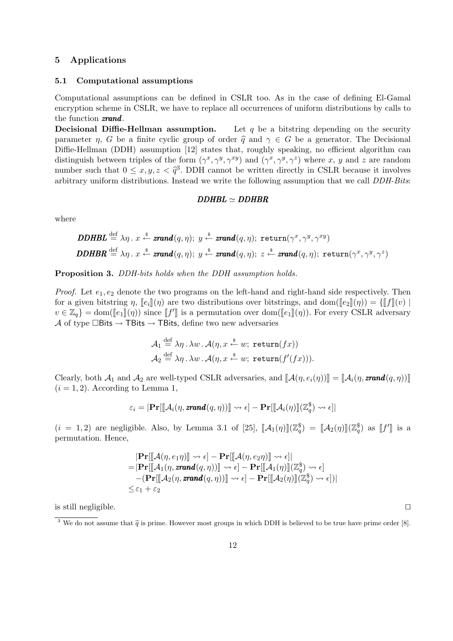## 5 Applications

#### 5.1 Computational assumptions

Computational assumptions can be defined in CSLR too. As in the case of defining El-Gamal encryption scheme in CSLR, we have to replace all occurrences of uniform distributions by calls to the function **zrand**.

**Decisional Diffie-Hellman assumption.** Let  $q$  be a bitstring depending on the security parameter η, G be a finite cyclic group of order  $\hat{q}$  and  $\gamma \in G$  be a generator. The Decisional Diffie-Hellman (DDH) assumption [12] states that, roughly speaking, no efficient algorithm can distinguish between triples of the form  $(\gamma^x, \gamma^y, \gamma^{xy})$  and  $(\gamma^x, \gamma^y, \gamma^z)$  where x, y and z are random number such that  $0 \le x, y, z < \hat{q}^3$ . DDH cannot be written directly in CSLR because it involves arbitrary uniform distributions. Instead we write the following assumption that we call DDH-Bits:

## $DDHBL \simeq DDHBR$

where

**DDHBL** 
$$
\stackrel{\text{def}}{=} \lambda \eta \cdot x \stackrel{\$}{\leftarrow} \text{zrand}(q, \eta); y \stackrel{\$}{\leftarrow} \text{zrand}(q, \eta); \text{ return}(\gamma^x, \gamma^y, \gamma^{xy})
$$
  
\n**DDHBR**  $\stackrel{\text{def}}{=} \lambda \eta \cdot x \stackrel{\$}{\leftarrow} \text{zrand}(q, \eta); y \stackrel{\$}{\leftarrow} \text{zrand}(q, \eta); z \stackrel{\$}{\leftarrow} \text{zrand}(q, \eta); \text{ return}(\gamma^x, \gamma^y, \gamma^z)$ 

Proposition 3. DDH-bits holds when the DDH assumption holds.

*Proof.* Let  $e_1, e_2$  denote the two programs on the left-hand and right-hand side respectively. Then for a given bitstring  $\eta$ ,  $\llbracket e_i \rrbracket(\eta)$  are two distributions over bitstrings, and dom( $\llbracket e_2 \rrbracket(\eta) = \{ \llbracket f \rrbracket(v) \mid$  $v \in \mathbb{Z}_q$  = dom( $[\![e_1]\!] (\eta)$ ) since  $[\![f']\!]$  is a permutation over dom( $[\![e_1]\!] (\eta)$ ). For every CSLR adversary A of type  $\Box$ Bits  $\rightarrow$  TBits  $\rightarrow$  TBits, define two new adversaries

$$
\mathcal{A}_1 \stackrel{\text{def}}{=} \lambda \eta \cdot \lambda w \cdot \mathcal{A}(\eta, x \stackrel{\text{s}}{\leftarrow} w; \text{ return}(fx))
$$

$$
\mathcal{A}_2 \stackrel{\text{def}}{=} \lambda \eta \cdot \lambda w \cdot \mathcal{A}(\eta, x \stackrel{\text{s}}{\leftarrow} w; \text{ return}(f'(fx))).
$$

Clearly, both  $\mathcal{A}_1$  and  $\mathcal{A}_2$  are well-typed CSLR adversaries, and  $\llbracket \mathcal{A}(\eta, e_i(\eta)) \rrbracket = \llbracket \mathcal{A}_i(\eta, \textbf{zrand}(q, \eta)) \rrbracket$  $(i = 1, 2)$ . According to Lemma 1,

$$
\varepsilon_i = |\mathbf{Pr}[\llbracket \mathcal{A}_i(\eta, \text{zrand}(q, \eta)) \rrbracket \rightsquigarrow \epsilon] - \mathbf{Pr}[\llbracket \mathcal{A}_i(\eta) \rrbracket(\mathbb{Z}_q^{\$}) \rightsquigarrow \epsilon]
$$

 $(i = 1, 2)$  are negligible. Also, by Lemma 3.1 of [25],  $[\mathcal{A}_1(\eta)][(\mathbb{Z}_q^s) = [\mathcal{A}_2(\eta)][(\mathbb{Z}_q^s)]$  as  $[f']$  is a permutation. Hence,

$$
\begin{aligned} &|\mathbf{Pr}[\llbracket \mathcal{A}(\eta,e_1\eta) \rrbracket \leadsto \epsilon] - \mathbf{Pr}[\llbracket \mathcal{A}(\eta,e_2\eta) \rrbracket \leadsto \epsilon] | \\ =&|\mathbf{Pr}[\llbracket \mathcal{A}_1(\eta,\textbf{zrand}(q,\eta)) \rrbracket \leadsto \epsilon] - \mathbf{Pr}[\llbracket \mathcal{A}_1(\eta) \rrbracket(\mathbb{Z}_q^{\$}) \leadsto \epsilon] \\ &- (\mathbf{Pr}[\llbracket \mathcal{A}_2(\eta,\textbf{zrand}(q,\eta)) \rrbracket \leadsto \epsilon] - \mathbf{Pr}[\llbracket \mathcal{A}_2(\eta) \rrbracket(\mathbb{Z}_q^{\$}) \leadsto \epsilon]) | \\ \leq \varepsilon_1 + \varepsilon_2 \end{aligned}
$$

is still negligible.  $\Box$ 

<sup>&</sup>lt;sup>3</sup> We do not assume that  $\hat{q}$  is prime. However most groups in which DDH is believed to be true have prime order [8].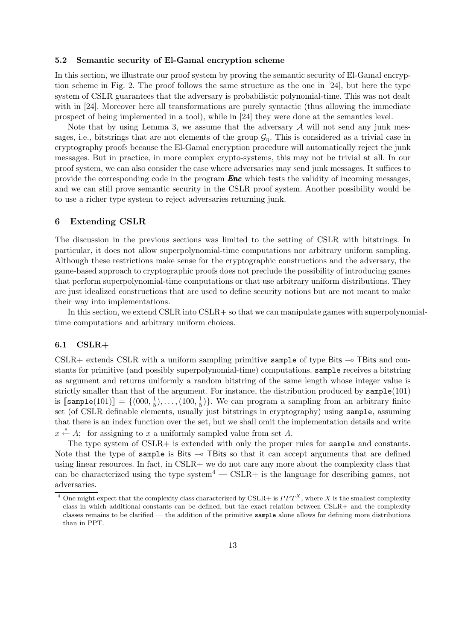#### 5.2 Semantic security of El-Gamal encryption scheme

In this section, we illustrate our proof system by proving the semantic security of El-Gamal encryption scheme in Fig. 2. The proof follows the same structure as the one in [24], but here the type system of CSLR guarantees that the adversary is probabilistic polynomial-time. This was not dealt with in [24]. Moreover here all transformations are purely syntactic (thus allowing the immediate prospect of being implemented in a tool), while in [24] they were done at the semantics level.

Note that by using Lemma 3, we assume that the adversary  $A$  will not send any junk messages, i.e., bitstrings that are not elements of the group  $\mathcal{G}_n$ . This is considered as a trivial case in cryptography proofs because the El-Gamal encryption procedure will automatically reject the junk messages. But in practice, in more complex crypto-systems, this may not be trivial at all. In our proof system, we can also consider the case where adversaries may send junk messages. It suffices to provide the corresponding code in the program  $Enc$  which tests the validity of incoming messages, and we can still prove semantic security in the CSLR proof system. Another possibility would be to use a richer type system to reject adversaries returning junk.

## 6 Extending CSLR

The discussion in the previous sections was limited to the setting of CSLR with bitstrings. In particular, it does not allow superpolynomial-time computations nor arbitrary uniform sampling. Although these restrictions make sense for the cryptographic constructions and the adversary, the game-based approach to cryptographic proofs does not preclude the possibility of introducing games that perform superpolynomial-time computations or that use arbitrary uniform distributions. They are just idealized constructions that are used to define security notions but are not meant to make their way into implementations.

In this section, we extend CSLR into CSLR+ so that we can manipulate games with superpolynomialtime computations and arbitrary uniform choices.

#### 6.1 CSLR+

CSLR+ extends CSLR with a uniform sampling primitive sample of type Bits  $\sim$  TBits and constants for primitive (and possibly superpolynomial-time) computations. sample receives a bitstring as argument and returns uniformly a random bitstring of the same length whose integer value is strictly smaller than that of the argument. For instance, the distribution produced by sample(101) is  $[\text{sample}(101)] = \{(000, \frac{1}{5})\}$  $(\frac{1}{5}), \ldots, (100, \frac{1}{5})$  $\frac{1}{5}$ }. We can program a sampling from an arbitrary finite set (of CSLR definable elements, usually just bitstrings in cryptography) using sample, assuming that there is an index function over the set, but we shall omit the implementation details and write  $x \stackrel{\$}{\leftarrow} A$ ; for assigning to x a uniformly sampled value from set A.

The type system of CSLR+ is extended with only the proper rules for sample and constants. Note that the type of sample is Bits  $\sim$  TBits so that it can accept arguments that are defined using linear resources. In fact, in CSLR+ we do not care any more about the complexity class that can be characterized using the type system<sup>4</sup> — CSLR+ is the language for describing games, not adversaries.

<sup>&</sup>lt;sup>4</sup> One might expect that the complexity class characterized by CSLR+ is  $PPT<sup>X</sup>$ , where X is the smallest complexity class in which additional constants can be defined, but the exact relation between CSLR+ and the complexity classes remains to be clarified — the addition of the primitive sample alone allows for defining more distributions than in PPT.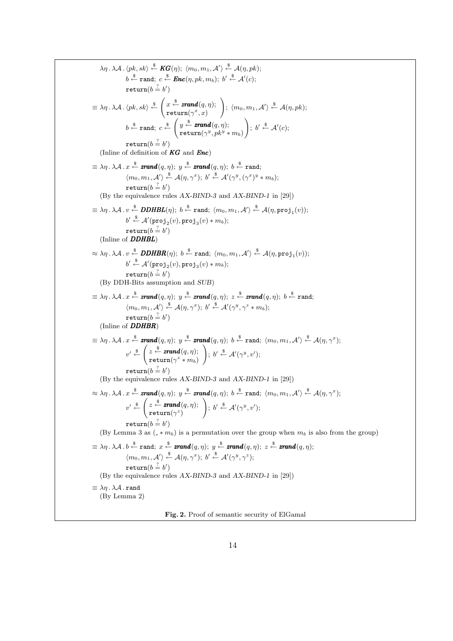$\lambda \eta$  .  $\lambda {\cal A}$  .  $\langle pk, sk\rangle \stackrel{\$}{\leftarrow} {\bm K} {\bm G}(\eta); \ \langle m_0, m_1, {\cal A}'\rangle \stackrel{\$}{\leftarrow} {\cal A}(\eta, pk);$  $b \stackrel{\$}{\leftarrow} \mathtt{rand};\ c \stackrel{\$}{\leftarrow} \textit{\textbf{Enc}}(\eta, pk, m_b); \ b' \stackrel{\$}{\leftarrow} \mathcal{A}'(c);$  $\texttt{return}(b \stackrel{?}{=} b')$  $\mathbf{z}\equiv \lambda \eta$  .  $\lambda \mathcal{A}$  .  $\langle pk, sk\rangle \overset{\$}{\leftarrow} \left(x \overset{\$}{\leftarrow} \pmb{zrand}(q, \eta); \right)$  $return(\gamma^x, x)$  $\setminus$  $\hspace{0.2cm} ; \hspace{0.2cm} \langle m_0, m_1, \mathcal{A}' \rangle \stackrel{\$}{\leftarrow} \mathcal{A}(\eta, pk);$  $b \stackrel{\$}{\leftarrow} \mathtt{rand};\ c \stackrel{\$}{\leftarrow} \left(y \stackrel{\$}{\leftarrow} \mathtt{zrand}(q, \eta);$  $\texttt{return}(\gamma^y, pk^y * m_b)$  $\setminus$  $; b' \stackrel{\$}{\leftarrow} A'(c);$  $\texttt{return}(b \stackrel{?}{=} b')$ (Inline of definition of  $KG$  and  $Enc$ )  $t\equiv \lambda\eta$  .  $\lambda\mathcal{A}$  .  $x\stackrel{\$}{\leftarrow}\bm{zrand}(q,\eta);~y\stackrel{\$}{\leftarrow}\bm{zrand}(q,\eta);~b\stackrel{\$}{\leftarrow}\texttt{rand};$  $\langle m_0, m_1, \mathcal{A}' \rangle \stackrel{\$}{\leftarrow} \mathcal{A}(\eta, \gamma^x); b' \stackrel{\$}{\leftarrow} \mathcal{A}'(\gamma^y, (\gamma^x)^y * m_b);$  $\texttt{return}(b \stackrel{?}{=} b')$ (By the equivalence rules AX-BIND-3 and AX-BIND-1 in [29])  $t\equiv \lambda\eta$  .  $\lambda\mathcal{A}$  .  $v\stackrel{\$}{\leftarrow} \bm{DDHBL}(\eta);~b\stackrel{\$}{\leftarrow} \texttt{rand};~\langle m_0, m_1, \mathcal{A}'\rangle\stackrel{\$}{\leftarrow} \mathcal{A}(\eta, \texttt{proj}_1(v));$  $b' \overset{\$}{\leftarrow} \mathcal{A}'(\mathtt{proj}_2(v), \mathtt{proj}_3(v) * m_b);$  $\texttt{return}(b \stackrel{?}{=} b')$ (Inline of  $\overrightarrow{DDHBL}$ )  $\approx \lambda \eta$  .  $\lambda \mathcal{A}$  .  $v \stackrel{\$}{\leftarrow} \bm{DDHBR}(\eta); \ b \stackrel{\$}{\leftarrow} \texttt{rand}; \ \langle m_0, m_1, \mathcal{A}' \rangle \stackrel{\$}{\leftarrow} \mathcal{A}(\eta, \texttt{proj}_1(v));$  $b' \overset{\$}{\leftarrow} \mathcal{A}'(\mathtt{proj}_2(v), \mathtt{proj}_3(v) * m_b);$  $\texttt{return}(b \stackrel{?}{=} b')$ (By DDH-Bits assumption and SUB)  $\mathcal{L}\equiv \lambda\eta$  .  $\lambda\mathcal{A}$  .  $x\overset{\$}{\leftarrow}\bm{zrand}(q,\eta);~ y\overset{\$}{\leftarrow}\bm{zrand}(q,\eta);~ z\overset{\$}{\leftarrow}\bm{zrand}(q,\eta);~ b\overset{\$}{\leftarrow}\texttt{rand};$  $\langle m_0, m_1, \mathcal{A}' \rangle \stackrel{\$}{\leftarrow} \mathcal{A}(\eta, \gamma^x); b' \stackrel{\$}{\leftarrow} \mathcal{A}'(\gamma^y, \gamma^z * m_b);$  $\texttt{return}(b \stackrel{?}{=} b')$ (Inline of **DDHBR**)  $\mathcal{L}\equiv \lambda\eta$  .  $\lambda\mathcal{A}$  .  $x\overset{\$}{\leftarrow}\bm{zrand}(q,\eta);~ y\overset{\$}{\leftarrow}\bm{zrand}(q,\eta);~ b\overset{\$}{\leftarrow}\texttt{rand};~\langle m_0,m_1,\mathcal{A}'\rangle\overset{\$}{\leftarrow}\mathcal{A}(\eta,\gamma^x);$  $v' \stackrel{\$}{\leftarrow} \Biggl( z \stackrel{\$}{\leftarrow} \textit{zrand}(q, \eta);$  $\texttt{return}(\gamma^z * m_b)$  $\setminus$  $; b' \stackrel{\$}{\leftarrow} A'(\gamma^y, v');$  $\texttt{return}(b \stackrel{?}{=} b')$ (By the equivalence rules AX-BIND-3 and AX-BIND-1 in [29])  $\tau \approx \lambda \eta$  .  $\lambda \mathcal{A}$  .  $x \stackrel{\$}{\leftarrow} {\bm{zrand}}(q, \eta); \; y \stackrel{\$}{\leftarrow} {\bm{zrand}}(q, \eta); \; b \stackrel{\$}{\leftarrow} {\bm{rand}}; \; \langle m_0, m_1, \mathcal{A}' \rangle \stackrel{\$}{\leftarrow} \mathcal{A}(\eta, \gamma^x);$  $v' \stackrel{\$}{\leftarrow} \Biggl( z \stackrel{\$}{\leftarrow} \textit{zrand}(q, \eta);$  $\texttt{return}(\gamma^z)$  $\setminus$  $; b' \stackrel{\$}{\leftarrow} A'(\gamma^y, v');$  $\texttt{return}(b \stackrel{?}{=} b')$ (By Lemma 3 as  $(\, \cdot \, * m_b)$ ) is a permutation over the group when  $m_b$  is also from the group)  $\mathcal{L} \equiv \lambda \eta \,.\, \lambda \mathcal{A}\,.\, b \stackrel{\$}{\leftarrow} \mathtt{rand};\ x \stackrel{\$}{\leftarrow} \mathtt{zrand}(q,\eta);\ y \stackrel{\$}{\leftarrow} \mathtt{zrand}(q,\eta);\ z \stackrel{\$}{\leftarrow} \mathtt{zrand}(q,\eta);$  $\langle m_0, m_1, \mathcal{A}' \rangle \stackrel{\$}{\leftarrow} \mathcal{A}(\eta, \gamma^x); b' \stackrel{\$}{\leftarrow} \mathcal{A}'(\gamma^y, \gamma^z);$  $\texttt{return}(b \stackrel{?}{=} b')$ (By the equivalence rules AX-BIND-3 and AX-BIND-1 in [29])  $\equiv \lambda \eta$ .  $\lambda$ A. rand (By Lemma 2) Fig. 2. Proof of semantic security of ElGamal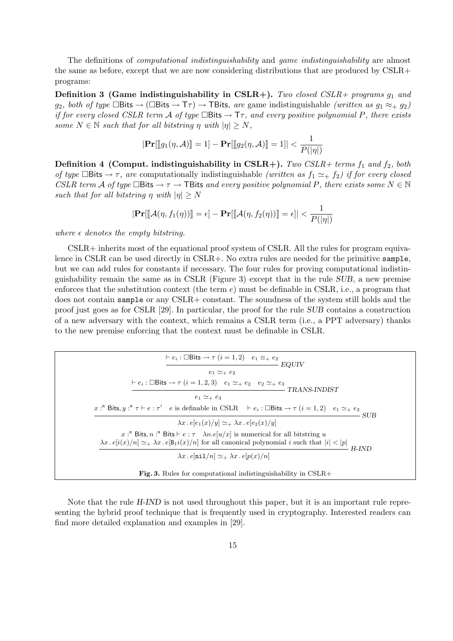The definitions of *computational indistinguishability* and *game indistinguishability* are almost the same as before, except that we are now considering distributions that are produced by CSLR+ programs:

Definition 3 (Game indistinguishability in CSLR+). Two closed CSLR+ programs  $g_1$  and  $g_2$ , both of type  $\Box$ Bits  $\rightarrow (\Box$ Bits  $\rightarrow$  T $\tau$ )  $\rightarrow$  TBits, are game indistinguishable *(written as*  $g_1 \approx_+ g_2$ ) if for every closed CSLR term A of type  $\Box$ Bits  $\rightarrow$  T $\tau$ , and every positive polynomial P, there exists some  $N \in \mathbb{N}$  such that for all bitstring  $\eta$  with  $|\eta| \geq N$ ,

$$
|\mathbf{Pr}[\llbracket g_1(\eta,\mathcal{A})\rrbracket = 1] - \mathbf{Pr}[\llbracket g_2(\eta,\mathcal{A})\rrbracket = 1]| < \frac{1}{P(|\eta|)}
$$

Definition 4 (Comput. indistinguishability in CSLR+). Two CSLR+ terms  $f_1$  and  $f_2$ , both of type  $\Box$ Bits  $\rightarrow \tau$ , are computationally indistinguishable (written as  $f_1 \simeq_+ f_2$ ) if for every closed CSLR term A of type  $\Box$ Bits  $\rightarrow \tau \rightarrow$  TBits and every positive polynomial P, there exists some  $N \in \mathbb{N}$ such that for all bitstring  $\eta$  with  $|\eta| \geq N$ 

$$
|\mathbf{Pr}[\llbracket \mathcal{A}(\eta, f_1(\eta)) \rrbracket = \epsilon] - \mathbf{Pr}[\llbracket \mathcal{A}(\eta, f_2(\eta)) \rrbracket = \epsilon] | < \frac{1}{P(|\eta|)}
$$

where  $\epsilon$  denotes the empty bitstring.

CSLR+ inherits most of the equational proof system of CSLR. All the rules for program equivalence in CSLR can be used directly in CSLR+. No extra rules are needed for the primitive sample, but we can add rules for constants if necessary. The four rules for proving computational indistinguishability remain the same as in CSLR (Figure 3) except that in the rule SUB, a new premise enforces that the substitution context (the term  $e$ ) must be definable in CSLR, i.e., a program that does not contain sample or any CSLR+ constant. The soundness of the system still holds and the proof just goes as for CSLR [29]. In particular, the proof for the rule SUB contains a construction of a new adversary with the context, which remains a CSLR term (i.e., a PPT adversary) thanks to the new premise enforcing that the context must be definable in CSLR.

$$
\frac{\vdash e_i : \Box \text{Bits} \rightarrow \tau (i = 1, 2) \quad e_1 \equiv _+ e_2}{e_1 \simeq _+ e_2} \quad \text{EQUIV}
$$
\n
$$
\frac{\vdash e_i : \Box \text{Bits} \rightarrow \tau (i = 1, 2, 3) \quad e_1 \simeq _+ e_2 \quad e_2 \simeq _+ e_3}{\text{TRANS-INDIST}}
$$
\n
$$
\frac{x : \text{Bits}, y : \text{Ais} \rightarrow \tau (i = 1, 2, 3) \quad e_1 \simeq _+ e_2}{\lambda x \cdot e[e_1 \cdot \text{SLR}} \quad \text{F} \quad e_i : \Box \text{Bits} \rightarrow \tau (i = 1, 2) \quad e_1 \simeq _+ e_2}{\lambda x \cdot e[e_1 \cdot \text{A}y] \simeq _+ \lambda x \cdot e[e_2 \cdot \text{A}y]} \quad \text{SUB}
$$
\n
$$
\frac{x : \text{Bits}, n : \text{Bits} \rightarrow e : \tau \quad \lambda n \cdot e[u/x] \text{ is numerical for all bitstring } u}{\lambda x \cdot e[i(x)/n] \simeq _+ \lambda x \cdot e[\text{Bis}(x)/n] \quad \text{for all canonical polynomial } i \text{ such that } |i| < |p| \quad \text{AND}
$$
\n
$$
\lambda x \cdot e[\text{ni}/n] \simeq _+ \lambda x \cdot e[p(x)/n]
$$
\n
$$
\text{Fig. 3. Rules for computational indistinguishability in CSLR+}
$$

Note that the rule H-IND is not used throughout this paper, but it is an important rule representing the hybrid proof technique that is frequently used in cryptography. Interested readers can find more detailed explanation and examples in [29].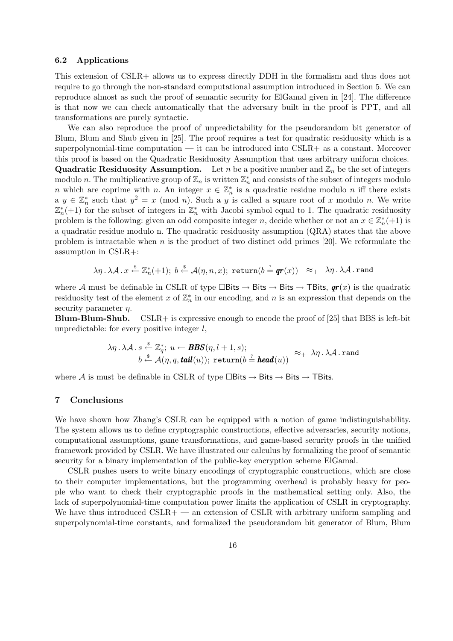#### 6.2 Applications

This extension of CSLR+ allows us to express directly DDH in the formalism and thus does not require to go through the non-standard computational assumption introduced in Section 5. We can reproduce almost as such the proof of semantic security for ElGamal given in [24]. The difference is that now we can check automatically that the adversary built in the proof is PPT, and all transformations are purely syntactic.

We can also reproduce the proof of unpredictability for the pseudorandom bit generator of Blum, Blum and Shub given in [25]. The proof requires a test for quadratic residuosity which is a superpolynomial-time computation — it can be introduced into CSLR+ as a constant. Moreover this proof is based on the Quadratic Residuosity Assumption that uses arbitrary uniform choices. **Quadratic Residuosity Assumption.** Let n be a positive number and  $\mathbb{Z}_n$  be the set of integers modulo n. The multiplicative group of  $\mathbb{Z}_n$  is written  $\mathbb{Z}_n^*$  and consists of the subset of integers modulo n which are coprime with n. An integer  $x \in \mathbb{Z}_n^*$  is a quadratic residue modulo n iff there exists a  $y \in \mathbb{Z}_n^*$  such that  $y^2 = x \pmod{n}$ . Such a y is called a square root of x modulo n. We write  $\mathbb{Z}_{n}^{*}(+1)$  for the subset of integers in  $\mathbb{Z}_{n}^{*}$  with Jacobi symbol equal to 1. The quadratic residuosity problem is the following: given an odd composite integer n, decide whether or not an  $x \in \mathbb{Z}_{n}^{*}(+1)$  is a quadratic residue modulo n. The quadratic residuosity assumption (QRA) states that the above problem is intractable when  $n$  is the product of two distinct odd primes [20]. We reformulate the assumption in CSLR+:

$$
\lambda \eta \cdot \lambda \mathcal{A} \cdot x \stackrel{\hspace{0.1em}\mathsf{\scriptscriptstyle\$}}{\leftarrow} \mathbb{Z}_n^*(+1); \ b \stackrel{\hspace{0.1em}\mathsf{\scriptscriptstyle\$}}{\leftarrow} \mathcal{A}(\eta, n, x); \ \texttt{return}(b \stackrel{?}{=} \textbf{qr}(x)) \quad \approx_{+} \quad \lambda \eta \cdot \lambda \mathcal{A} \cdot \texttt{rand}
$$

where A must be definable in CSLR of type  $\Box$  Bits  $\rightarrow$  Bits  $\rightarrow$  TBits,  $gr(x)$  is the quadratic residuosity test of the element x of  $\mathbb{Z}_n^*$  in our encoding, and n is an expression that depends on the security parameter  $\eta$ .

Blum-Blum-Shub. CSLR+ is expressive enough to encode the proof of [25] that BBS is left-bit unpredictable: for every positive integer  $l$ ,

$$
\lambda \eta \cdot \lambda \mathcal{A} \cdot s \stackrel{\text{s}}{\leftarrow} \mathbb{Z}_q^*; \ u \leftarrow \textit{BBS}(\eta, l+1, s);
$$
\n
$$
b \stackrel{\text{s}}{\leftarrow} \mathcal{A}(\eta, q, \textit{tail}(u)); \ \textit{return}(b \stackrel{\text{?}}{=} \textit{head}(u)) \quad \approx_{+} \lambda \eta \cdot \lambda \mathcal{A} \cdot \textit{rand}
$$

where A is must be definable in CSLR of type  $\Box$  Bits  $\rightarrow$  Bits  $\rightarrow$  TBits.

#### 7 Conclusions

We have shown how Zhang's CSLR can be equipped with a notion of game indistinguishability. The system allows us to define cryptographic constructions, effective adversaries, security notions, computational assumptions, game transformations, and game-based security proofs in the unified framework provided by CSLR. We have illustrated our calculus by formalizing the proof of semantic security for a binary implementation of the public-key encryption scheme ElGamal.

CSLR pushes users to write binary encodings of cryptographic constructions, which are close to their computer implementations, but the programming overhead is probably heavy for people who want to check their cryptographic proofs in the mathematical setting only. Also, the lack of superpolynomial-time computation power limits the application of CSLR in cryptography. We have thus introduced  $CSLR +$  — an extension of CSLR with arbitrary uniform sampling and superpolynomial-time constants, and formalized the pseudorandom bit generator of Blum, Blum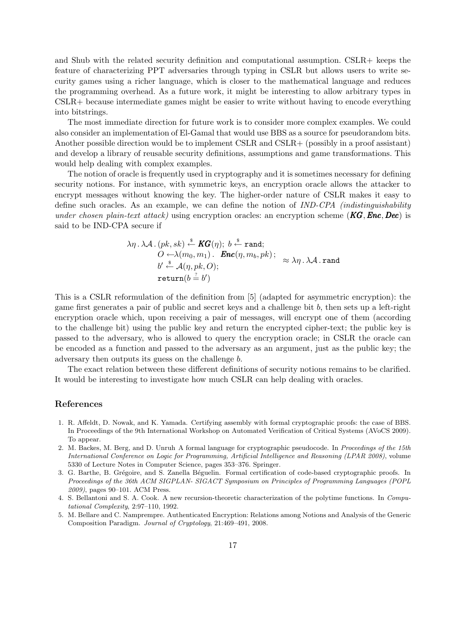and Shub with the related security definition and computational assumption. CSLR+ keeps the feature of characterizing PPT adversaries through typing in CSLR but allows users to write security games using a richer language, which is closer to the mathematical language and reduces the programming overhead. As a future work, it might be interesting to allow arbitrary types in CSLR+ because intermediate games might be easier to write without having to encode everything into bitstrings.

The most immediate direction for future work is to consider more complex examples. We could also consider an implementation of El-Gamal that would use BBS as a source for pseudorandom bits. Another possible direction would be to implement CSLR and CSLR+ (possibly in a proof assistant) and develop a library of reusable security definitions, assumptions and game transformations. This would help dealing with complex examples.

The notion of oracle is frequently used in cryptography and it is sometimes necessary for defining security notions. For instance, with symmetric keys, an encryption oracle allows the attacker to encrypt messages without knowing the key. The higher-order nature of CSLR makes it easy to define such oracles. As an example, we can define the notion of IND-CPA (indistinguishability under chosen plain-text attack) using encryption oracles: an encryption scheme ( $KG, Enc, Dec$ ) is said to be IND-CPA secure if

$$
\lambda \eta \cdot \lambda \mathcal{A} \cdot (pk, sk) \stackrel{\text{s}}{\leftarrow} \text{KG}(\eta); b \stackrel{\text{s}}{\leftarrow} \text{rand};
$$
\n
$$
O \leftarrow \lambda(m_0, m_1) \cdot \text{Enc}(\eta, m_b, pk); \approx \lambda \eta \cdot \lambda \mathcal{A} \cdot \text{rand}
$$
\n
$$
b' \stackrel{\text{s}}{\leftarrow} \mathcal{A}(\eta, pk, O);
$$
\n
$$
\text{return}(b \stackrel{\text{?}}{=} b')
$$

This is a CSLR reformulation of the definition from [5] (adapted for asymmetric encryption): the game first generates a pair of public and secret keys and a challenge bit b, then sets up a left-right encryption oracle which, upon receiving a pair of messages, will encrypt one of them (according to the challenge bit) using the public key and return the encrypted cipher-text; the public key is passed to the adversary, who is allowed to query the encryption oracle; in CSLR the oracle can be encoded as a function and passed to the adversary as an argument, just as the public key; the adversary then outputs its guess on the challenge b.

The exact relation between these different definitions of security notions remains to be clarified. It would be interesting to investigate how much CSLR can help dealing with oracles.

## References

- 1. R. Affeldt, D. Nowak, and K. Yamada. Certifying assembly with formal cryptographic proofs: the case of BBS. In Proceedings of the 9th International Workshop on Automated Verification of Critical Systems (AVoCS 2009). To appear.
- 2. M. Backes, M. Berg, and D. Unruh A formal language for cryptographic pseudocode. In Proceedings of the 15th International Conference on Logic for Programming, Artificial Intelligence and Reasoning (LPAR 2008), volume 5330 of Lecture Notes in Computer Science, pages 353–376. Springer.
- 3. G. Barthe, B. Grégoire, and S. Zanella Béguelin. Formal certification of code-based cryptographic proofs. In Proceedings of the 36th ACM SIGPLAN- SIGACT Symposium on Principles of Programming Languages (POPL 2009), pages 90–101. ACM Press.
- 4. S. Bellantoni and S. A. Cook. A new recursion-theoretic characterization of the polytime functions. In Computational Complexity, 2:97–110, 1992.
- 5. M. Bellare and C. Namprempre. Authenticated Encryption: Relations among Notions and Analysis of the Generic Composition Paradigm. Journal of Cryptology, 21:469–491, 2008.